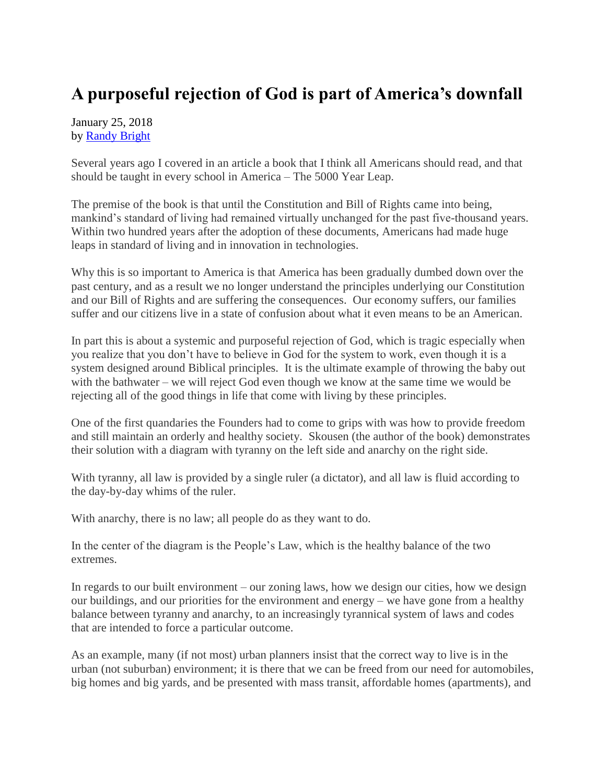## **A purposeful rejection of God is part of America's downfall**

January 25, 2018 by [Randy Bright](http://tulsabeacon.com/writers/randy-bright/)

Several years ago I covered in an article a book that I think all Americans should read, and that should be taught in every school in America – The 5000 Year Leap.

The premise of the book is that until the Constitution and Bill of Rights came into being, mankind's standard of living had remained virtually unchanged for the past five-thousand years. Within two hundred years after the adoption of these documents, Americans had made huge leaps in standard of living and in innovation in technologies.

Why this is so important to America is that America has been gradually dumbed down over the past century, and as a result we no longer understand the principles underlying our Constitution and our Bill of Rights and are suffering the consequences. Our economy suffers, our families suffer and our citizens live in a state of confusion about what it even means to be an American.

In part this is about a systemic and purposeful rejection of God, which is tragic especially when you realize that you don't have to believe in God for the system to work, even though it is a system designed around Biblical principles. It is the ultimate example of throwing the baby out with the bathwater – we will reject God even though we know at the same time we would be rejecting all of the good things in life that come with living by these principles.

One of the first quandaries the Founders had to come to grips with was how to provide freedom and still maintain an orderly and healthy society. Skousen (the author of the book) demonstrates their solution with a diagram with tyranny on the left side and anarchy on the right side.

With tyranny, all law is provided by a single ruler (a dictator), and all law is fluid according to the day-by-day whims of the ruler.

With anarchy, there is no law; all people do as they want to do.

In the center of the diagram is the People's Law, which is the healthy balance of the two extremes.

In regards to our built environment – our zoning laws, how we design our cities, how we design our buildings, and our priorities for the environment and energy – we have gone from a healthy balance between tyranny and anarchy, to an increasingly tyrannical system of laws and codes that are intended to force a particular outcome.

As an example, many (if not most) urban planners insist that the correct way to live is in the urban (not suburban) environment; it is there that we can be freed from our need for automobiles, big homes and big yards, and be presented with mass transit, affordable homes (apartments), and